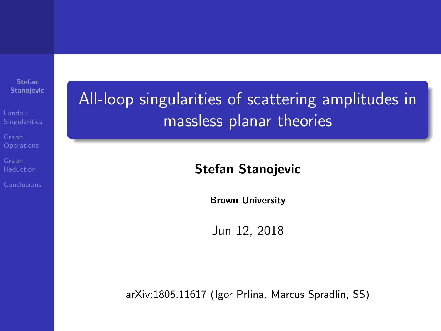Stefan Stanojevic

All-loop singularities of scattering amplitudes in massless planar theories

#### Stefan Stanojevic

Brown University

Jun 12, 2018

arXiv:1805.11617 (Igor Prlina, Marcus Spradlin, SS)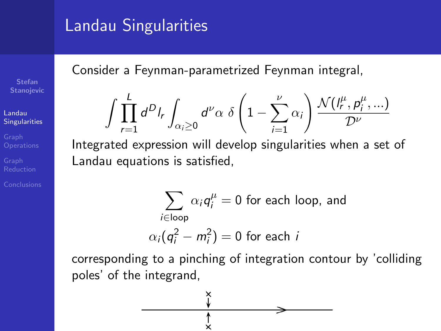### <span id="page-1-0"></span>Landau Singularities

Consider a Feynman-parametrized Feynman integral,

$$
\int \prod_{r=1}^{L} d^D I_r \int_{\alpha_i \geq 0} d^{\nu} \alpha \delta \left(1 - \sum_{i=1}^{\nu} \alpha_i \right) \frac{\mathcal{N}(I_r^{\mu}, p_i^{\mu}, \ldots)}{\mathcal{D}^{\nu}}
$$

Integrated expression will develop singularities when a set of Landau equations is satisfied,

$$
\sum_{i \in \text{loop}} \alpha_i q_i^{\mu} = 0 \text{ for each loop, and}
$$

$$
\alpha_i (q_i^2 - m_i^2) = 0 \text{ for each } i
$$

corresponding to a pinching of integration contour by 'colliding poles' of the integrand,

$$
\begin{array}{c}\n\begin{array}{c}\n\times \\
\longleftarrow \\
\uparrow \\
\end{array}\n\end{array}
$$

Stefan Stanojevic

[Singularities](#page-1-0)

Landau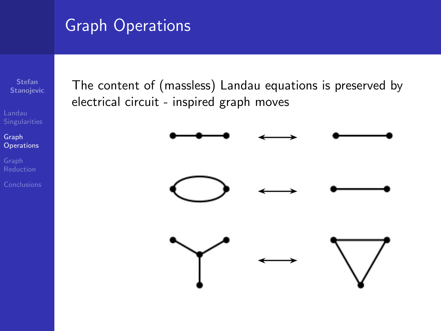## <span id="page-2-0"></span>Graph Operations

Stefan Stanojevic

Graph **[Operations](#page-2-0)** 

The content of (massless) Landau equations is preserved by electrical circuit - inspired graph moves

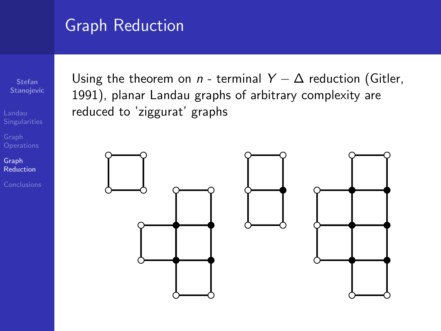### <span id="page-3-0"></span>Graph Reduction

Stefan Stanojevic

Graph [Reduction](#page-3-0)

Using the theorem on n - terminal  $Y - \Delta$  reduction (Gitler, 1991), planar Landau graphs of arbitrary complexity are reduced to 'ziggurat' graphs

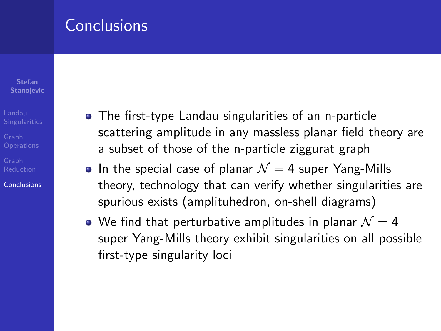#### <span id="page-4-0"></span>Conclusions

Stefan **Stanojevic** 

[Conclusions](#page-4-0)

- The first-type Landau singularities of an n-particle scattering amplitude in any massless planar field theory are a subset of those of the n-particle ziggurat graph
- In the special case of planar  $\mathcal{N} = 4$  super Yang-Mills theory, technology that can verify whether singularities are spurious exists (amplituhedron, on-shell diagrams)
- $\bullet$  We find that perturbative amplitudes in planar  $\mathcal{N} = 4$ super Yang-Mills theory exhibit singularities on all possible first-type singularity loci